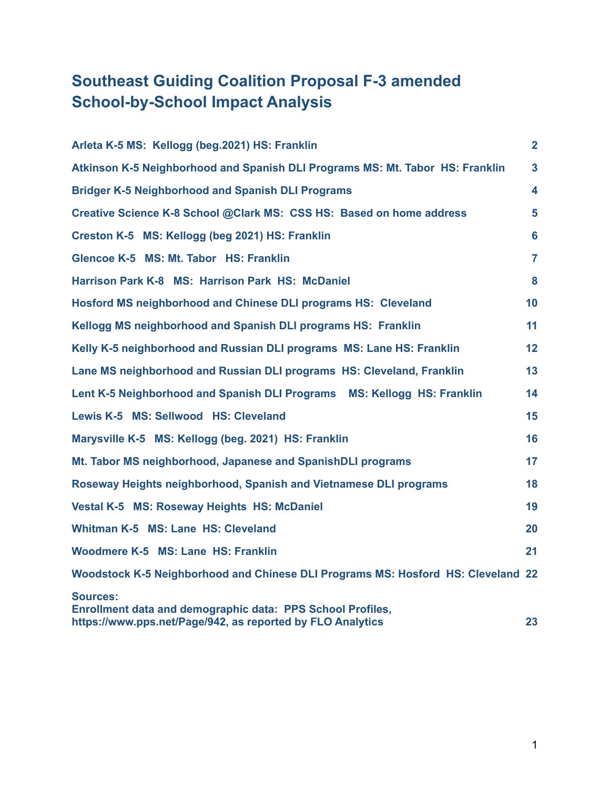## **Southeast Guiding Coalition Proposal F-3 amended School-by-School Impact Analysis**

| Arleta K-5 MS: Kellogg (beg.2021) HS: Franklin                                                                                              | $\overline{2}$ |
|---------------------------------------------------------------------------------------------------------------------------------------------|----------------|
| Atkinson K-5 Neighborhood and Spanish DLI Programs MS: Mt. Tabor HS: Franklin                                                               | $\overline{3}$ |
| <b>Bridger K-5 Neighborhood and Spanish DLI Programs</b>                                                                                    | 4              |
| Creative Science K-8 School @Clark MS: CSS HS: Based on home address                                                                        | 5              |
| Creston K-5 MS: Kellogg (beg 2021) HS: Franklin                                                                                             | 6              |
| Glencoe K-5 MS: Mt. Tabor HS: Franklin                                                                                                      | 7              |
| Harrison Park K-8 MS: Harrison Park HS: McDaniel                                                                                            | 8              |
| Hosford MS neighborhood and Chinese DLI programs HS: Cleveland                                                                              | 10             |
| Kellogg MS neighborhood and Spanish DLI programs HS: Franklin                                                                               | 11             |
| Kelly K-5 neighborhood and Russian DLI programs MS: Lane HS: Franklin                                                                       | 12             |
| Lane MS neighborhood and Russian DLI programs HS: Cleveland, Franklin                                                                       | 13             |
| Lent K-5 Neighborhood and Spanish DLI Programs MS: Kellogg HS: Franklin                                                                     | 14             |
| Lewis K-5 MS: Sellwood HS: Cleveland                                                                                                        | 15             |
| Marysville K-5 MS: Kellogg (beg. 2021) HS: Franklin                                                                                         | 16             |
| Mt. Tabor MS neighborhood, Japanese and SpanishDLI programs                                                                                 | 17             |
| Roseway Heights neighborhood, Spanish and Vietnamese DLI programs                                                                           | 18             |
| <b>Vestal K-5 MS: Roseway Heights HS: McDaniel</b>                                                                                          | 19             |
| Whitman K-5 MS: Lane HS: Cleveland                                                                                                          | 20             |
| Woodmere K-5 MS: Lane HS: Franklin                                                                                                          | 21             |
| Woodstock K-5 Neighborhood and Chinese DLI Programs MS: Hosford HS: Cleveland 22                                                            |                |
| Sources:<br><b>Enrollment data and demographic data: PPS School Profiles,</b><br>https://www.pps.net/Page/942, as reported by FLO Analytics | 23             |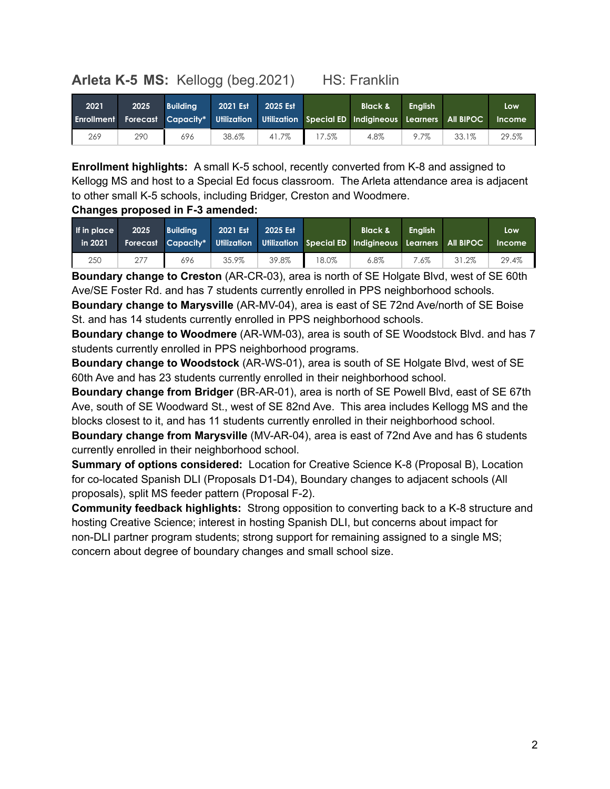## <span id="page-1-0"></span>**Arleta K-5 MS:** Kellogg (beg.2021) HS: Franklin

| 2021 | 2025 | <b>Building</b> | 2021 Est | 2025 Est |       | <b>Black &amp;</b><br>Enrollment Forecast Capacity* Utilization Utilization Special ED Indigineous Learners All BIPOC | <b>Enalish</b> |       | Low<br><b>Income</b> |
|------|------|-----------------|----------|----------|-------|-----------------------------------------------------------------------------------------------------------------------|----------------|-------|----------------------|
| 269  | 290  | 696             | 38.6%    | 41.7%    | 17.5% | 4.8%                                                                                                                  | 9.7%           | 33.1% | 29.5%                |

**Enrollment highlights:** A small K-5 school, recently converted from K-8 and assigned to Kellogg MS and host to a Special Ed focus classroom. The Arleta attendance area is adjacent to other small K-5 schools, including Bridger, Creston and Woodmere.

#### **Changes proposed in F-3 amended:**

| If in place<br>in 2021 | 2025 | <b>Building</b> | 2021 Est | 2025 Est |       | Black &<br>Forecast Capacity* Utilization Utilization Special ED Indigineous Learners All BIPOC | <b>Enalish</b> |       | Low<br><b>Income</b> |
|------------------------|------|-----------------|----------|----------|-------|-------------------------------------------------------------------------------------------------|----------------|-------|----------------------|
| 250                    | 277  | 696             | 35.9%    | 39.8%    | 18.0% | $6.8\%$                                                                                         | 7.6%           | 31.2% | 29.4%                |

**Boundary change to Creston** (AR-CR-03), area is north of SE Holgate Blvd, west of SE 60th Ave/SE Foster Rd. and has 7 students currently enrolled in PPS neighborhood schools.

**Boundary change to Marysville** (AR-MV-04), area is east of SE 72nd Ave/north of SE Boise St. and has 14 students currently enrolled in PPS neighborhood schools.

**Boundary change to Woodmere** (AR-WM-03), area is south of SE Woodstock Blvd. and has 7 students currently enrolled in PPS neighborhood programs.

**Boundary change to Woodstock** (AR-WS-01), area is south of SE Holgate Blvd, west of SE 60th Ave and has 23 students currently enrolled in their neighborhood school.

**Boundary change from Bridger** (BR-AR-01), area is north of SE Powell Blvd, east of SE 67th Ave, south of SE Woodward St., west of SE 82nd Ave. This area includes Kellogg MS and the blocks closest to it, and has 11 students currently enrolled in their neighborhood school.

**Boundary change from Marysville** (MV-AR-04), area is east of 72nd Ave and has 6 students currently enrolled in their neighborhood school.

**Summary of options considered:** Location for Creative Science K-8 (Proposal B), Location for co-located Spanish DLI (Proposals D1-D4), Boundary changes to adjacent schools (All proposals), split MS feeder pattern (Proposal F-2).

**Community feedback highlights:** Strong opposition to converting back to a K-8 structure and hosting Creative Science; interest in hosting Spanish DLI, but concerns about impact for non-DLI partner program students; strong support for remaining assigned to a single MS; concern about degree of boundary changes and small school size.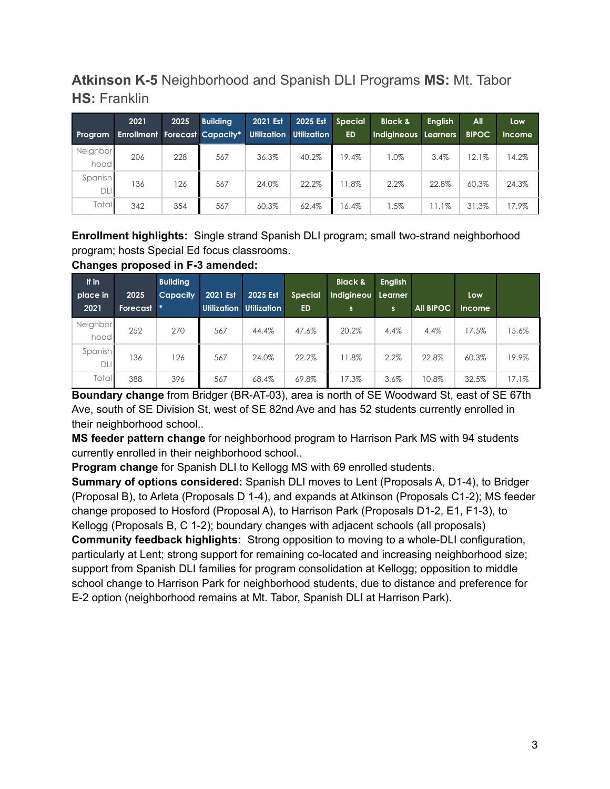## <span id="page-2-0"></span>**Atkinson K-5** Neighborhood and Spanish DLI Programs **MS:** Mt. Tabor **HS:** Franklin

|                  | 2021                                 | 2025 | <b>Building</b> | 2021 Est | 2025 Est                | <b>Special</b> | <b>Black &amp;</b>   | <b>English</b> | All          | Low           |
|------------------|--------------------------------------|------|-----------------|----------|-------------------------|----------------|----------------------|----------------|--------------|---------------|
| Program          | <b>Enrollment Forecast Capacity*</b> |      |                 |          | Utilization Utilization | <b>ED</b>      | Indigineous Learners |                | <b>BIPOC</b> | <b>Income</b> |
| Neighbor<br>hood | 206                                  | 228  | 567             | 36.3%    | 40.2%                   | 19.4%          | $1.0\%$              | 3.4%           | 12.1%        | 14.2%         |
| Spanish<br>DLI   | 136                                  | 126  | 567             | 24.0%    | 22.2%                   | 1.8%           | 2.2%                 | 22.8%          | 60.3%        | 24.3%         |
| <b>Total</b>     | 342                                  | 354  | 567             | 60.3%    | 62.4%                   | 16.4%          | $1.5\%$              | 1.1%           | 31.3%        | 17.9%         |

**Enrollment highlights:** Single strand Spanish DLI program; small two-strand neighborhood program; hosts Special Ed focus classrooms.

|          | Changes proposed in F-3 amended: |                 |  |                         |    |                                                       |  |  |  |  |  |  |  |
|----------|----------------------------------|-----------------|--|-------------------------|----|-------------------------------------------------------|--|--|--|--|--|--|--|
| If in    |                                  | <b>Building</b> |  |                         |    | <b>Black &amp; English</b>                            |  |  |  |  |  |  |  |
| place in | 2025                             |                 |  |                         |    | Capacity 2021 Est 2025 Est Special Indigineou Learner |  |  |  |  |  |  |  |
| 2021     | Forecast *                       |                 |  | Utilization Utilization | ED |                                                       |  |  |  |  |  |  |  |

| place in         | 2025     | <b>Capacity</b> | 2021 Est                | 2025 Est | <b>Special</b> | Indigineou | Learner |                  | Low           |       |
|------------------|----------|-----------------|-------------------------|----------|----------------|------------|---------|------------------|---------------|-------|
| 2021             | Forecast |                 | Utilization Utilization |          | <b>ED</b>      | S          | s       | <b>All BIPOC</b> | <b>Income</b> |       |
| Neighbor<br>hood | 252      | 270             | 567                     | 44.4%    | 47.6%          | 20.2%      | 4.4%    | 4.4%             | 17.5%         | 15.6% |
| Spanish<br>DLI   | 36       | 126             | 567                     | 24.0%    | 22.2%          | 11.8%      | 2.2%    | 22.8%            | 60.3%         | 19.9% |
| Total            | 388      | 396             | 567                     | 68.4%    | 69.8%          | 17.3%      | 3.6%    | 10.8%            | 32.5%         | 17.1% |

**Boundary change** from Bridger (BR-AT-03), area is north of SE Woodward St, east of SE 67th Ave, south of SE Division St, west of SE 82nd Ave and has 52 students currently enrolled in their neighborhood school..

**MS feeder pattern change** for neighborhood program to Harrison Park MS with 94 students currently enrolled in their neighborhood school..

**Program change** for Spanish DLI to Kellogg MS with 69 enrolled students.

**Summary of options considered:** Spanish DLI moves to Lent (Proposals A, D1-4), to Bridger (Proposal B), to Arleta (Proposals D 1-4), and expands at Atkinson (Proposals C1-2); MS feeder change proposed to Hosford (Proposal A), to Harrison Park (Proposals D1-2, E1, F1-3), to Kellogg (Proposals B, C 1-2); boundary changes with adjacent schools (all proposals) **Community feedback highlights:** Strong opposition to moving to a whole-DLI configuration, particularly at Lent; strong support for remaining co-located and increasing neighborhood size; support from Spanish DLI families for program consolidation at Kellogg; opposition to middle school change to Harrison Park for neighborhood students, due to distance and preference for E-2 option (neighborhood remains at Mt. Tabor, Spanish DLI at Harrison Park).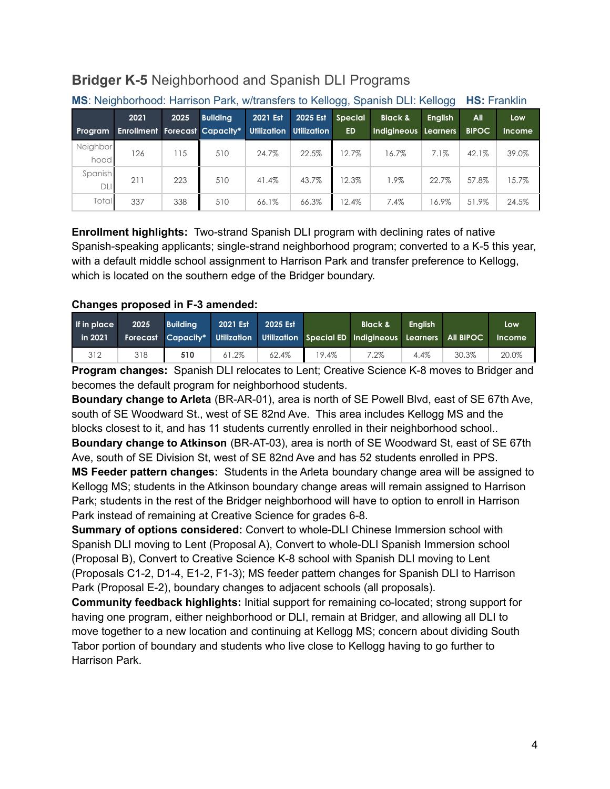## <span id="page-3-0"></span>**Bridger K-5** Neighborhood and Spanish DLI Programs

|                       |                                      |      |                 |                    |             | $\mathbf{1} \cdot \mathbf{1} \cdot \mathbf{1} \cdot \mathbf{1} \cdot \mathbf{1} \cdot \mathbf{1} \cdot \mathbf{1} \cdot \mathbf{1} \cdot \mathbf{1} \cdot \mathbf{1} \cdot \mathbf{1} \cdot \mathbf{1} \cdot \mathbf{1} \cdot \mathbf{1} \cdot \mathbf{1} \cdot \mathbf{1} \cdot \mathbf{1} \cdot \mathbf{1} \cdot \mathbf{1} \cdot \mathbf{1} \cdot \mathbf{1} \cdot \mathbf{1} \cdot \mathbf{1} \cdot \mathbf{1} \cdot \mathbf{1} \cdot \mathbf{1} \cdot \mathbf{1} \cdot \mathbf{$ |                      |                |              |               |  |
|-----------------------|--------------------------------------|------|-----------------|--------------------|-------------|---------------------------------------------------------------------------------------------------------------------------------------------------------------------------------------------------------------------------------------------------------------------------------------------------------------------------------------------------------------------------------------------------------------------------------------------------------------------------------------|----------------------|----------------|--------------|---------------|--|
|                       | 2021                                 | 2025 | <b>Building</b> | 2021 Est           | 2025 Est    | <b>Special</b>                                                                                                                                                                                                                                                                                                                                                                                                                                                                        | <b>Black &amp;</b>   | <b>English</b> | All          | Low           |  |
| Program               | <b>Enrollment Forecast Capacity*</b> |      |                 | <b>Utilization</b> | Utilization | <b>ED</b>                                                                                                                                                                                                                                                                                                                                                                                                                                                                             | Indigineous Learners |                | <b>BIPOC</b> | <b>Income</b> |  |
| Neighbor<br>hood      | 126                                  | 15   | 510             | 24.7%              | 22.5%       | 12.7%                                                                                                                                                                                                                                                                                                                                                                                                                                                                                 | 16.7%                | 7.1%           | 42.1%        | 39.0%         |  |
| Spanish<br><b>DLI</b> | 211                                  | 223  | 510             | 41.4%              | 43.7%       | 12.3%                                                                                                                                                                                                                                                                                                                                                                                                                                                                                 | 1.9%                 | 22.7%          | 57.8%        | 15.7%         |  |
| Total                 | 337                                  | 338  | 510             | 66.1%              | 66.3%       | 12.4%                                                                                                                                                                                                                                                                                                                                                                                                                                                                                 | 7.4%                 | 16.9%          | 51.9%        | 24.5%         |  |

### **MS**: Neighborhood: Harrison Park, w/transfers to Kellogg, Spanish DLI: Kellogg **HS:** Franklin

**Enrollment highlights:** Two-strand Spanish DLI program with declining rates of native Spanish-speaking applicants; single-strand neighborhood program; converted to a K-5 this year, with a default middle school assignment to Harrison Park and transfer preference to Kellogg, which is located on the southern edge of the Bridger boundary.

#### **Changes proposed in F-3 amended:**

| If in place<br>in 2021 | 2025 | <b>Building</b> | 2021 Est | 2025 Est |       | Black &<br>Forecast Capacity* Utilization Utilization Special ED Indigineous Learners All BIPOC | <b>Enalish</b> |       | Low<br><b>Income</b> |
|------------------------|------|-----------------|----------|----------|-------|-------------------------------------------------------------------------------------------------|----------------|-------|----------------------|
| 312                    | 318  | 510             | 61.2%    | 62.4%    | 19.4% | $7.2\%$                                                                                         | 4.4%           | 30.3% | 20.0%                |

**Program changes:** Spanish DLI relocates to Lent; Creative Science K-8 moves to Bridger and becomes the default program for neighborhood students.

**Boundary change to Arleta** (BR-AR-01), area is north of SE Powell Blvd, east of SE 67th Ave, south of SE Woodward St., west of SE 82nd Ave. This area includes Kellogg MS and the blocks closest to it, and has 11 students currently enrolled in their neighborhood school.. **Boundary change to Atkinson** (BR-AT-03), area is north of SE Woodward St, east of SE 67th

Ave, south of SE Division St, west of SE 82nd Ave and has 52 students enrolled in PPS. **MS Feeder pattern changes:** Students in the Arleta boundary change area will be assigned to Kellogg MS; students in the Atkinson boundary change areas will remain assigned to Harrison Park; students in the rest of the Bridger neighborhood will have to option to enroll in Harrison Park instead of remaining at Creative Science for grades 6-8.

**Summary of options considered:** Convert to whole-DLI Chinese Immersion school with Spanish DLI moving to Lent (Proposal A), Convert to whole-DLI Spanish Immersion school (Proposal B), Convert to Creative Science K-8 school with Spanish DLI moving to Lent (Proposals C1-2, D1-4, E1-2, F1-3); MS feeder pattern changes for Spanish DLI to Harrison Park (Proposal E-2), boundary changes to adjacent schools (all proposals).

**Community feedback highlights:** Initial support for remaining co-located; strong support for having one program, either neighborhood or DLI, remain at Bridger, and allowing all DLI to move together to a new location and continuing at Kellogg MS; concern about dividing South Tabor portion of boundary and students who live close to Kellogg having to go further to Harrison Park.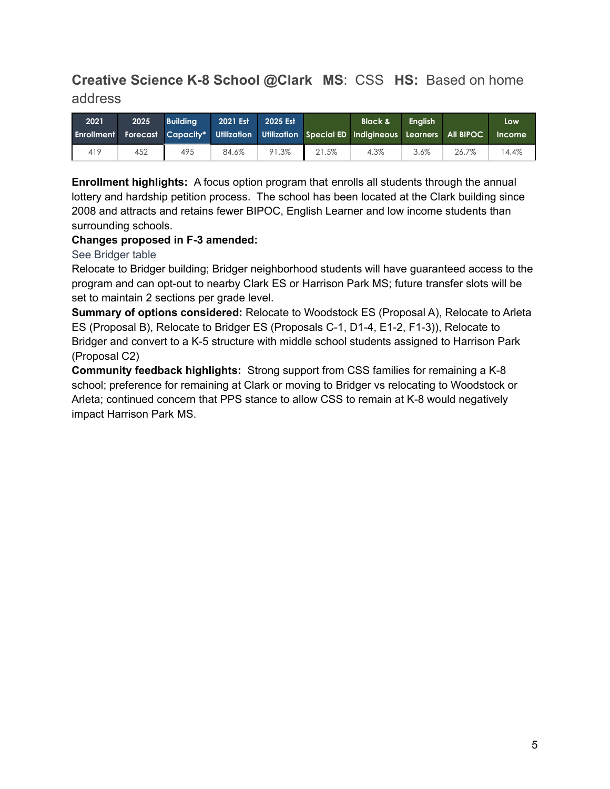## <span id="page-4-0"></span>**Creative Science K-8 School @Clark MS**: CSS **HS:** Based on home address

| 2021 | 2025 | <b>Building</b> | 2021 Est | 2025 Est |       | <b>Black &amp;</b>                                                                                     | <b>Enalish</b> |       | Low    |
|------|------|-----------------|----------|----------|-------|--------------------------------------------------------------------------------------------------------|----------------|-------|--------|
|      |      |                 |          |          |       | <b>Enrollment Forecast Capacity* Utilization Utilization Special ED Indigineous Learners All BIPOC</b> |                |       | Income |
| 419  | 452  | 495             | 84.6%    | 91.3%    | 21.5% | 4.3%                                                                                                   | 3.6%           | 26.7% | 4.4%   |

**Enrollment highlights:** A focus option program that enrolls all students through the annual lottery and hardship petition process. The school has been located at the Clark building since 2008 and attracts and retains fewer BIPOC, English Learner and low income students than surrounding schools.

#### **Changes proposed in F-3 amended:**

See Bridger table

Relocate to Bridger building; Bridger neighborhood students will have guaranteed access to the program and can opt-out to nearby Clark ES or Harrison Park MS; future transfer slots will be set to maintain 2 sections per grade level.

**Summary of options considered:** Relocate to Woodstock ES (Proposal A), Relocate to Arleta ES (Proposal B), Relocate to Bridger ES (Proposals C-1, D1-4, E1-2, F1-3)), Relocate to Bridger and convert to a K-5 structure with middle school students assigned to Harrison Park (Proposal C2)

**Community feedback highlights:** Strong support from CSS families for remaining a K-8 school; preference for remaining at Clark or moving to Bridger vs relocating to Woodstock or Arleta; continued concern that PPS stance to allow CSS to remain at K-8 would negatively impact Harrison Park MS.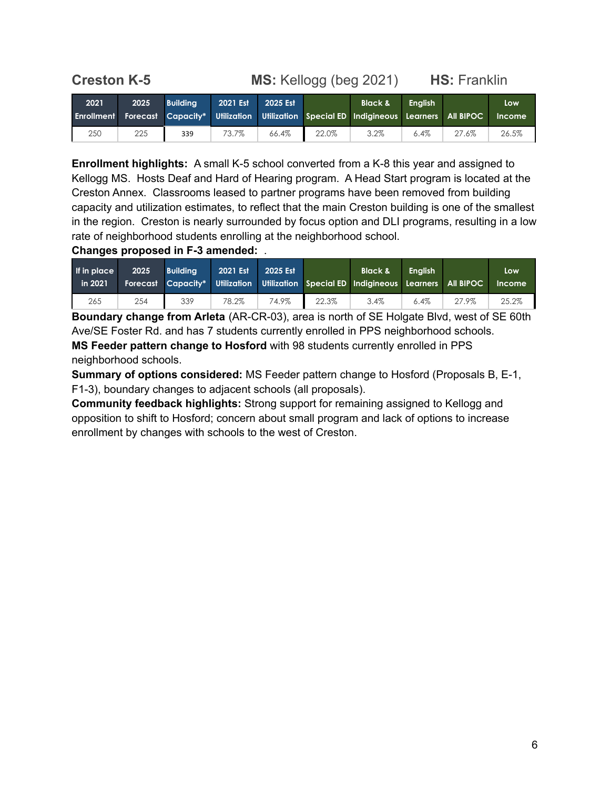## <span id="page-5-0"></span>**Creston K-5 MS:** Kellogg (beg 2021) **HS:** Franklin

| 2021 | 2025 | <b>Building</b> | 2021 Est | 2025 Est |       | <b>Black &amp;</b><br>Enrollment Forecast Capacity* Utilization Utilization Special ED Indigineous Learners All BIPOC | <b>Enalish</b> |       | Low<br><b>Income</b> |
|------|------|-----------------|----------|----------|-------|-----------------------------------------------------------------------------------------------------------------------|----------------|-------|----------------------|
| 250  | 225  | 339             | 73.7%    | 66.4%    | 22.0% | 3.2%                                                                                                                  | 6.4%           | 27.6% | 26.5%                |

**Enrollment highlights:** A small K-5 school converted from a K-8 this year and assigned to Kellogg MS. Hosts Deaf and Hard of Hearing program. A Head Start program is located at the Creston Annex. Classrooms leased to partner programs have been removed from building capacity and utilization estimates, to reflect that the main Creston building is one of the smallest in the region. Creston is nearly surrounded by focus option and DLI programs, resulting in a low rate of neighborhood students enrolling at the neighborhood school.

**Changes proposed in F-3 amended:** .

| If in place<br>in 2021 | 2025 | <b>Building</b> | 2021 Est | 2025 Est |       | <b>Black &amp;</b><br>Forecast Capacity* Utilization Utilization Special ED Indigineous Learners All BIPOC | <b>Enalish</b> |       | Low<br><b>Income</b> |
|------------------------|------|-----------------|----------|----------|-------|------------------------------------------------------------------------------------------------------------|----------------|-------|----------------------|
| 265                    | 254  | 339             | 78.2%    | 74.9%    | 22.3% | 3.4%                                                                                                       | $6.4\%$        | 27.9% | 25.2%                |

**Boundary change from Arleta** (AR-CR-03), area is north of SE Holgate Blvd, west of SE 60th Ave/SE Foster Rd. and has 7 students currently enrolled in PPS neighborhood schools. **MS Feeder pattern change to Hosford** with 98 students currently enrolled in PPS neighborhood schools.

**Summary of options considered:** MS Feeder pattern change to Hosford (Proposals B, E-1, F1-3), boundary changes to adjacent schools (all proposals).

**Community feedback highlights:** Strong support for remaining assigned to Kellogg and opposition to shift to Hosford; concern about small program and lack of options to increase enrollment by changes with schools to the west of Creston.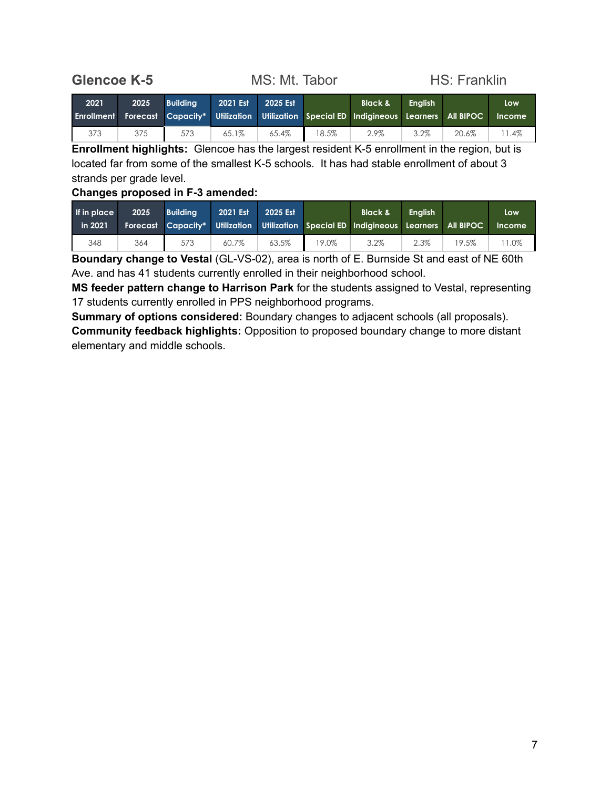<span id="page-6-0"></span>**Glencoe K-5** MS: Mt. Tabor HS: Franklin

| 2021 | 2025 | <b>Building</b> | 2021 Est | 2025 Est |       | <b>Black &amp;</b><br><b>Enrollment Forecast Capacity* Utilization Utilization Special ED Indigineous Learners All BIPOC</b> | <b>Enalish</b> |       | Low<br><b>Income</b> |
|------|------|-----------------|----------|----------|-------|------------------------------------------------------------------------------------------------------------------------------|----------------|-------|----------------------|
| 373  | 375  | 573             | 65.1%    | 65.4%    | 18.5% | 2.9%                                                                                                                         | 3.2%           | 20.6% | 1.4%                 |

**Enrollment highlights:** Glencoe has the largest resident K-5 enrollment in the region, but is located far from some of the smallest K-5 schools. It has had stable enrollment of about 3 strands per grade level.

#### **Changes proposed in F-3 amended:**

| If in place<br>in 2021 | 2025 | <b>Building</b> | 2021 Est | 2025 Est |       | <b>Black &amp;</b><br>Forecast Capacity* Utilization Utilization Special ED Indigineous Learners All BIPOC | <b>Enalish</b> |       | Low<br><b>Income</b> |
|------------------------|------|-----------------|----------|----------|-------|------------------------------------------------------------------------------------------------------------|----------------|-------|----------------------|
| 348                    | 364  | 573             | 60.7%    | 63.5%    | 19.0% | 3.2%                                                                                                       | 2.3%           | 19.5% | 1.0%                 |

**Boundary change to Vestal** (GL-VS-02), area is north of E. Burnside St and east of NE 60th Ave. and has 41 students currently enrolled in their neighborhood school.

**MS feeder pattern change to Harrison Park** for the students assigned to Vestal, representing 17 students currently enrolled in PPS neighborhood programs.

**Summary of options considered:** Boundary changes to adjacent schools (all proposals). **Community feedback highlights:** Opposition to proposed boundary change to more distant elementary and middle schools.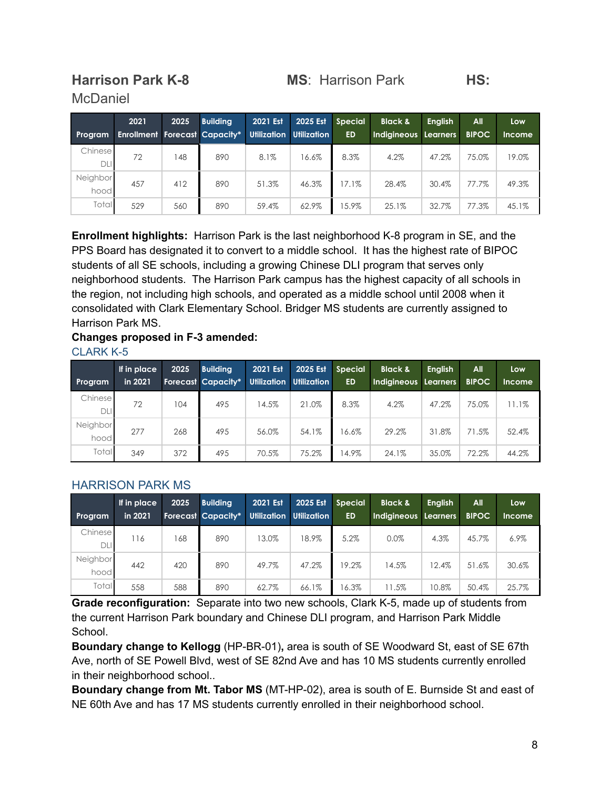# **McDaniel**

## <span id="page-7-0"></span>**Harrison Park K-8 MS**: Harrison Park **HS:**

| Program                | 2021<br><b>Enrollment Forecast Capacity*</b> | 2025 | <b>Building</b> | 2021 Est | 2025 Est<br>Utilization Utilization | <b>Special</b><br><b>ED</b> | <b>Black &amp;</b><br>Indigineous Learners | <b>English</b> | <b>All</b><br><b>BIPOC</b> | Low<br><b>Income</b> |
|------------------------|----------------------------------------------|------|-----------------|----------|-------------------------------------|-----------------------------|--------------------------------------------|----------------|----------------------------|----------------------|
| Chinesel<br><b>DLI</b> | 72                                           | 148  | 890             | 8.1%     | 16.6%                               | 8.3%                        | 4.2%                                       | 47.2%          | 75.0%                      | 19.0%                |
| Neighbor<br>hood       | 457                                          | 412  | 890             | 51.3%    | 46.3%                               | $17.1\%$                    | 28.4%                                      | 30.4%          | 77.7%                      | 49.3%                |
| Total                  | 529                                          | 560  | 890             | 59.4%    | 62.9%                               | 15.9%                       | 25.1%                                      | 32.7%          | 77.3%                      | 45.1%                |

**Enrollment highlights:** Harrison Park is the last neighborhood K-8 program in SE, and the PPS Board has designated it to convert to a middle school. It has the highest rate of BIPOC students of all SE schools, including a growing Chinese DLI program that serves only neighborhood students. The Harrison Park campus has the highest capacity of all schools in the region, not including high schools, and operated as a middle school until 2008 when it consolidated with Clark Elementary School. Bridger MS students are currently assigned to Harrison Park MS.

## **Changes proposed in F-3 amended:**

| <b>CLARK K-5</b> |  |  |
|------------------|--|--|
|                  |  |  |
|                  |  |  |

| <b>Program</b>   | If in place<br>in 2021 | 2025 | <b>Building</b><br><b>Forecast Capacity*</b> | 2021 Est<br>Utilization | 2025 Est<br><b>Utilization</b> | <b>Special</b><br><b>ED</b> | <b>Black &amp;</b><br>Indigineous Learners | <b>English</b> | All<br><b>BIPOC</b> | Low<br><b>Income</b> |
|------------------|------------------------|------|----------------------------------------------|-------------------------|--------------------------------|-----------------------------|--------------------------------------------|----------------|---------------------|----------------------|
| Chinese<br>DLI   | 72                     | 104  | 495                                          | 14.5%                   | 21.0%                          | 8.3%                        | 4.2%                                       | 47.2%          | 75.0%               | 11.1%                |
| Neighbor<br>hood | 277                    | 268  | 495                                          | 56.0%                   | 54.1%                          | 16.6%                       | 29.2%                                      | 31.8%          | 71.5%               | 52.4%                |
| Total            | 349                    | 372  | 495                                          | 70.5%                   | 75.2%                          | 14.9%                       | 24.1%                                      | 35.0%          | 72.2%               | 44.2%                |

## HARRISON PARK MS

| <b>Program</b>   | If in place<br>in 2021 | 2025 | <b>Building</b><br><b>Forecast Capacity*</b> | 2021 Est | 2025 Est<br>Utilization Utilization | <b>Special</b><br><b>ED</b> | <b>Black &amp;</b><br>Indigineous Learners | <b>English</b> | All<br><b>BIPOC</b> | Low<br><b>Income</b> |
|------------------|------------------------|------|----------------------------------------------|----------|-------------------------------------|-----------------------------|--------------------------------------------|----------------|---------------------|----------------------|
| Chinese<br>DLI   | 116                    | 168  | 890                                          | 13.0%    | 18.9%                               | 5.2%                        | 0.0%                                       | 4.3%           | 45.7%               | $6.9\%$              |
| Neighbor<br>hood | 442                    | 420  | 890                                          | 49.7%    | 47.2%                               | 19.2%                       | 14.5%                                      | 12.4%          | 51.6%               | 30.6%                |
| <b>Total</b>     | 558                    | 588  | 890                                          | 62.7%    | 66.1%                               | 16.3%                       | 11.5%                                      | 10.8%          | 50.4%               | 25.7%                |

**Grade reconfiguration:** Separate into two new schools, Clark K-5, made up of students from the current Harrison Park boundary and Chinese DLI program, and Harrison Park Middle School.

**Boundary change to Kellogg** (HP-BR-01)**,** area is south of SE Woodward St, east of SE 67th Ave, north of SE Powell Blvd, west of SE 82nd Ave and has 10 MS students currently enrolled in their neighborhood school..

**Boundary change from Mt. Tabor MS** (MT-HP-02), area is south of E. Burnside St and east of NE 60th Ave and has 17 MS students currently enrolled in their neighborhood school.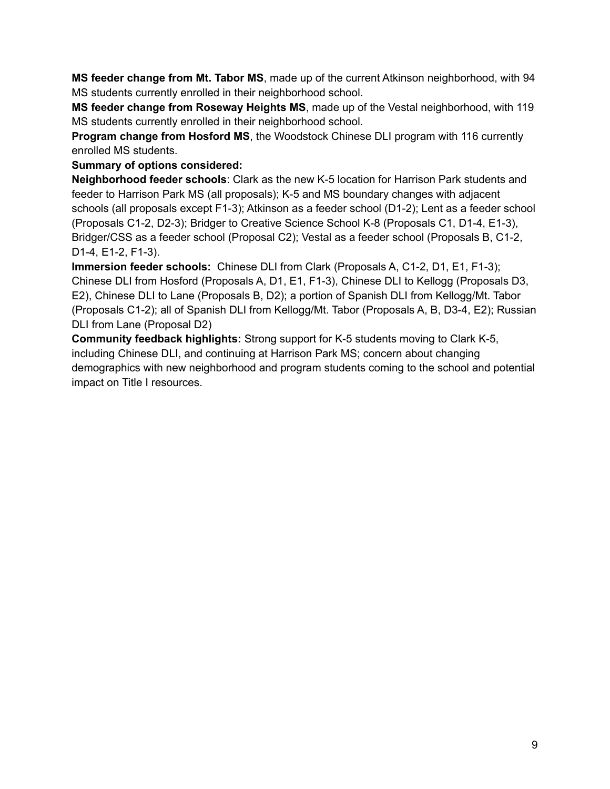**MS feeder change from Mt. Tabor MS**, made up of the current Atkinson neighborhood, with 94 MS students currently enrolled in their neighborhood school.

**MS feeder change from Roseway Heights MS**, made up of the Vestal neighborhood, with 119 MS students currently enrolled in their neighborhood school.

**Program change from Hosford MS**, the Woodstock Chinese DLI program with 116 currently enrolled MS students.

**Summary of options considered:**

**Neighborhood feeder schools**: Clark as the new K-5 location for Harrison Park students and feeder to Harrison Park MS (all proposals); K-5 and MS boundary changes with adjacent schools (all proposals except F1-3); Atkinson as a feeder school (D1-2); Lent as a feeder school (Proposals C1-2, D2-3); Bridger to Creative Science School K-8 (Proposals C1, D1-4, E1-3), Bridger/CSS as a feeder school (Proposal C2); Vestal as a feeder school (Proposals B, C1-2, D1-4, E1-2, F1-3).

**Immersion feeder schools:** Chinese DLI from Clark (Proposals A, C1-2, D1, E1, F1-3); Chinese DLI from Hosford (Proposals A, D1, E1, F1-3), Chinese DLI to Kellogg (Proposals D3, E2), Chinese DLI to Lane (Proposals B, D2); a portion of Spanish DLI from Kellogg/Mt. Tabor (Proposals C1-2); all of Spanish DLI from Kellogg/Mt. Tabor (Proposals A, B, D3-4, E2); Russian DLI from Lane (Proposal D2)

**Community feedback highlights:** Strong support for K-5 students moving to Clark K-5, including Chinese DLI, and continuing at Harrison Park MS; concern about changing demographics with new neighborhood and program students coming to the school and potential impact on Title I resources.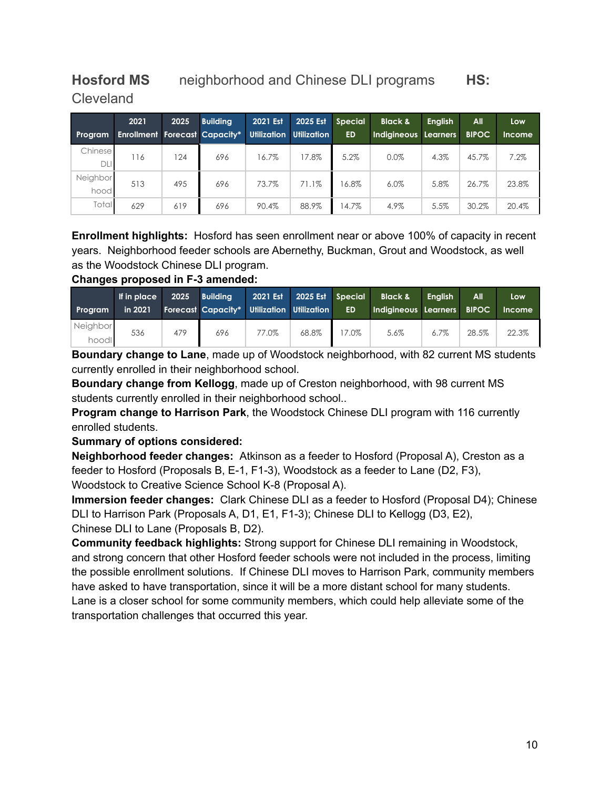## <span id="page-9-0"></span>**Hosford MS** neighborhood and Chinese DLI programs **HS:** Cleveland

|                  | 2021                                 | 2025 | <b>Building</b> | 2021 Est | 2025 Est                       | <b>Special</b> | <b>Black &amp;</b>   | <b>English</b> | All          | Low           |
|------------------|--------------------------------------|------|-----------------|----------|--------------------------------|----------------|----------------------|----------------|--------------|---------------|
| Program          | <b>Enrollment Forecast Capacity*</b> |      |                 |          | <b>Utilization Utilization</b> | <b>ED</b>      | Indigineous Learners |                | <b>BIPOC</b> | <b>Income</b> |
| Chinese<br>DLI   | 116                                  | 124  | 696             | 16.7%    | 17.8%                          | 5.2%           | 0.0%                 | 4.3%           | 45.7%        | 7.2%          |
| Neighbor<br>hood | 513                                  | 495  | 696             | 73.7%    | 71.1%                          | 16.8%          | 6.0%                 | 5.8%           | 26.7%        | 23.8%         |
| Total            | 629                                  | 619  | 696             | 90.4%    | 88.9%                          | 14.7%          | 4.9%                 | 5.5%           | 30.2%        | 20.4%         |

**Enrollment highlights:** Hosford has seen enrollment near or above 100% of capacity in recent years. Neighborhood feeder schools are Abernethy, Buckman, Grout and Woodstock, as well as the Woodstock Chinese DLI program.

**Changes proposed in F-3 amended:**

| Program           | If in place<br>in 2021 | 2025 | <b>Building</b><br><b>Forecast Capacity* Utilization Utilization</b> | 2021 Est | 2025 Est Special | <b>ED</b> | <b>Black &amp;</b><br>Indigineous Learners BIPOC | <b>Enalish</b> | All   | Low<br><b>Income</b> |
|-------------------|------------------------|------|----------------------------------------------------------------------|----------|------------------|-----------|--------------------------------------------------|----------------|-------|----------------------|
| Neighbor<br>hoodl | 536                    | 479  | 696                                                                  | 77.0%    | 68.8%            | 7.0%      | 5.6%                                             | $6.7\%$        | 28.5% | 22.3%                |

**Boundary change to Lane**, made up of Woodstock neighborhood, with 82 current MS students currently enrolled in their neighborhood school.

**Boundary change from Kellogg**, made up of Creston neighborhood, with 98 current MS students currently enrolled in their neighborhood school..

**Program change to Harrison Park**, the Woodstock Chinese DLI program with 116 currently enrolled students.

#### **Summary of options considered:**

**Neighborhood feeder changes:** Atkinson as a feeder to Hosford (Proposal A), Creston as a feeder to Hosford (Proposals B, E-1, F1-3), Woodstock as a feeder to Lane (D2, F3), Woodstock to Creative Science School K-8 (Proposal A).

**Immersion feeder changes:** Clark Chinese DLI as a feeder to Hosford (Proposal D4); Chinese DLI to Harrison Park (Proposals A, D1, E1, F1-3); Chinese DLI to Kellogg (D3, E2), Chinese DLI to Lane (Proposals B, D2).

**Community feedback highlights:** Strong support for Chinese DLI remaining in Woodstock, and strong concern that other Hosford feeder schools were not included in the process, limiting the possible enrollment solutions. If Chinese DLI moves to Harrison Park, community members have asked to have transportation, since it will be a more distant school for many students. Lane is a closer school for some community members, which could help alleviate some of the transportation challenges that occurred this year.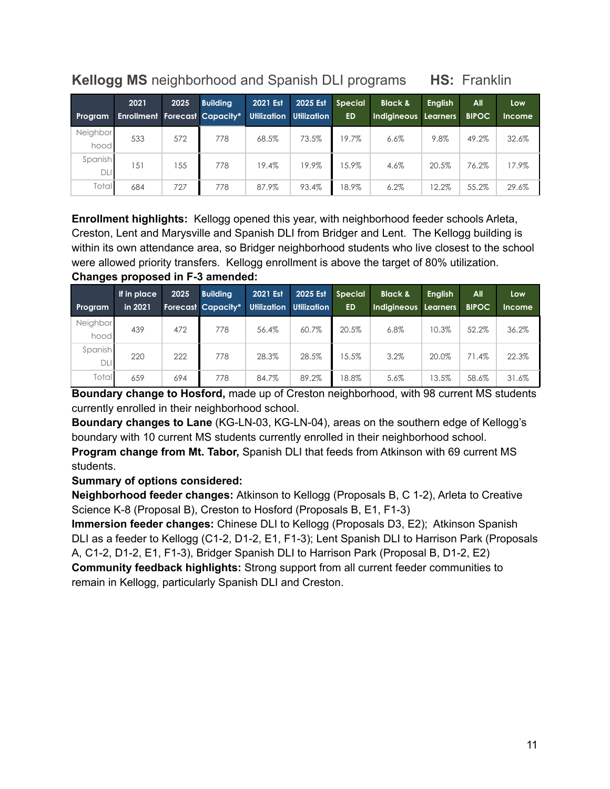## <span id="page-10-0"></span>**Kellogg MS** neighborhood and Spanish DLI programs **HS:** Franklin

| Program               | 2021<br><b>Enrollment Forecast Capacity*</b> | 2025 | <b>Building</b> | 2021 Est | 2025 Est<br>Utilization Utilization | <b>Special</b><br><b>ED</b> | <b>Black &amp;</b><br>Indigineous Learners | <b>English</b> | All<br><b>BIPOC</b> | Low<br><b>Income</b> |
|-----------------------|----------------------------------------------|------|-----------------|----------|-------------------------------------|-----------------------------|--------------------------------------------|----------------|---------------------|----------------------|
| Neighbor<br>hood      | 533                                          | 572  | 778             | 68.5%    | 73.5%                               | 19.7%                       | 6.6%                                       | 9.8%           | 49.2%               | 32.6%                |
| Spanish<br><b>DLI</b> | 151                                          | 155  | 778             | 19.4%    | 19.9%                               | 15.9%                       | 4.6%                                       | 20.5%          | 76.2%               | 17.9%                |
| Total                 | 684                                          | 727  | 778             | 87.9%    | 93.4%                               | 18.9%                       | 6.2%                                       | 12.2%          | 55.2%               | 29.6%                |

**Enrollment highlights:** Kellogg opened this year, with neighborhood feeder schools Arleta, Creston, Lent and Marysville and Spanish DLI from Bridger and Lent. The Kellogg building is within its own attendance area, so Bridger neighborhood students who live closest to the school were allowed priority transfers. Kellogg enrollment is above the target of 80% utilization. **Changes proposed in F-3 amended:**

| <b>Program</b>        | If in place<br>in 2021 | 2025 | <b>Building</b><br><b>Forecast Capacity*</b> | 2021 Est<br><b>Utilization</b> | 2025 Est<br><b>Utilization</b> | <b>Special</b><br><b>ED</b> | <b>Black &amp;</b><br>Indigineous Learners | <b>Enalish</b> | All<br><b>BIPOC</b> | Low<br><b>Income</b> |
|-----------------------|------------------------|------|----------------------------------------------|--------------------------------|--------------------------------|-----------------------------|--------------------------------------------|----------------|---------------------|----------------------|
| Neighbor<br>hood      | 439                    | 472  | 778                                          | 56.4%                          | 60.7%                          | 20.5%                       | 6.8%                                       | 10.3%          | 52.2%               | 36.2%                |
| Spanish<br><b>DLI</b> | 220                    | 222  | 778                                          | 28.3%                          | 28.5%                          | 15.5%                       | 3.2%                                       | 20.0%          | 71.4%               | 22.3%                |
| Total                 | 659                    | 694  | 778                                          | 84.7%                          | 89.2%                          | 18.8%                       | 5.6%                                       | 13.5%          | 58.6%               | 31.6%                |

**Boundary change to Hosford,** made up of Creston neighborhood, with 98 current MS students currently enrolled in their neighborhood school.

**Boundary changes to Lane** (KG-LN-03, KG-LN-04), areas on the southern edge of Kellogg's boundary with 10 current MS students currently enrolled in their neighborhood school.

**Program change from Mt. Tabor,** Spanish DLI that feeds from Atkinson with 69 current MS students.

#### **Summary of options considered:**

**Neighborhood feeder changes:** Atkinson to Kellogg (Proposals B, C 1-2), Arleta to Creative Science K-8 (Proposal B), Creston to Hosford (Proposals B, E1, F1-3)

**Immersion feeder changes:** Chinese DLI to Kellogg (Proposals D3, E2); Atkinson Spanish DLI as a feeder to Kellogg (C1-2, D1-2, E1, F1-3); Lent Spanish DLI to Harrison Park (Proposals A, C1-2, D1-2, E1, F1-3), Bridger Spanish DLI to Harrison Park (Proposal B, D1-2, E2)

**Community feedback highlights:** Strong support from all current feeder communities to remain in Kellogg, particularly Spanish DLI and Creston.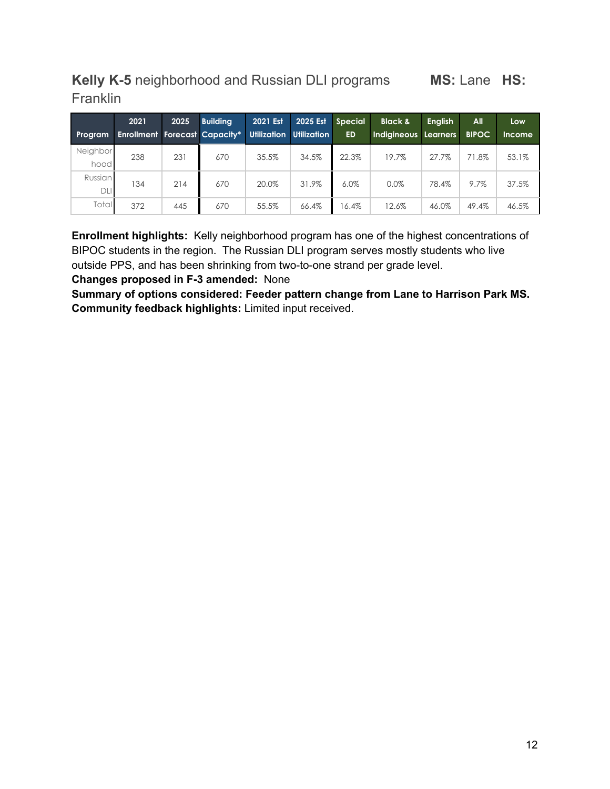## <span id="page-11-0"></span>**Kelly K-5** neighborhood and Russian DLI programs **MS:** Lane **HS: Franklin**

|                  | 2021                                 | 2025 | <b>Building</b> | 2021 Est           | 2025 Est    | <b>Special</b> | <b>Black &amp;</b>   | <b>English</b> | All          | Low    |
|------------------|--------------------------------------|------|-----------------|--------------------|-------------|----------------|----------------------|----------------|--------------|--------|
| <b>Program</b>   | <b>Enrollment Forecast Capacity*</b> |      |                 | <b>Utilization</b> | Utilization | <b>ED</b>      | Indigineous Learners |                | <b>BIPOC</b> | Income |
| Neighbor<br>hood | 238                                  | 231  | 670             | 35.5%              | 34.5%       | 22.3%          | 19.7%                | 27.7%          | 71.8%        | 53.1%  |
| Russian<br>DLI   | 134                                  | 214  | 670             | 20.0%              | 31.9%       | 6.0%           | 0.0%                 | 78.4%          | 9.7%         | 37.5%  |
| Totall           | 372                                  | 445  | 670             | 55.5%              | 66.4%       | 16.4%          | 12.6%                | 46.0%          | 49.4%        | 46.5%  |

**Enrollment highlights:** Kelly neighborhood program has one of the highest concentrations of BIPOC students in the region. The Russian DLI program serves mostly students who live outside PPS, and has been shrinking from two-to-one strand per grade level.

**Changes proposed in F-3 amended:** None

**Summary of options considered: Feeder pattern change from Lane to Harrison Park MS. Community feedback highlights:** Limited input received.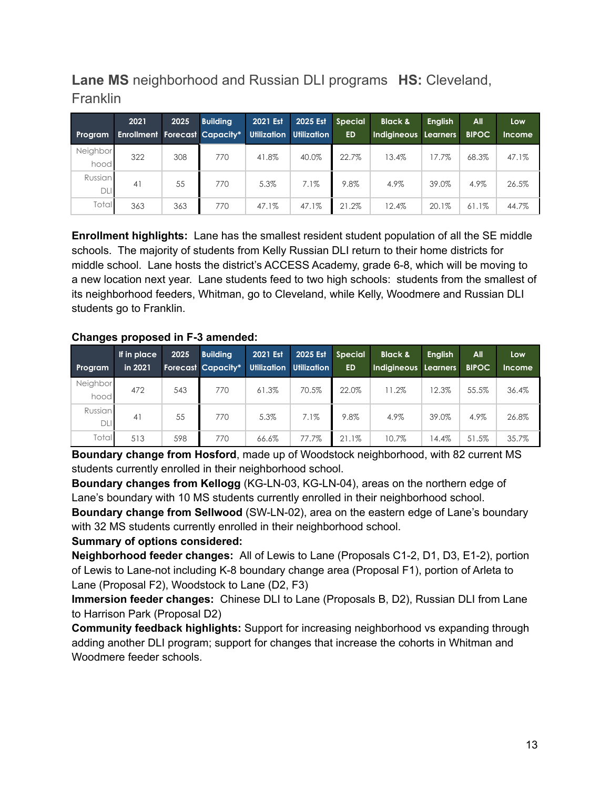## <span id="page-12-0"></span>**Lane MS** neighborhood and Russian DLI programs **HS:** Cleveland, **Franklin**

|                       | 2021                                 | 2025 | <b>Building</b> | 2021 Est | 2025 Est                       | <b>Special</b> | <b>Black &amp;</b>   | <b>English</b> | All          | Low           |
|-----------------------|--------------------------------------|------|-----------------|----------|--------------------------------|----------------|----------------------|----------------|--------------|---------------|
| <b>Program</b>        | <b>Enrollment Forecast Capacity*</b> |      |                 |          | <b>Utilization Utilization</b> | <b>ED</b>      | Indigineous Learners |                | <b>BIPOC</b> | <b>Income</b> |
| Neighbor<br>hood      | 322                                  | 308  | 770             | 41.8%    | 40.0%                          | 22.7%          | 13.4%                | 17.7%          | 68.3%        | 47.1%         |
| Russian<br><b>DLI</b> | 41                                   | 55   | 770             | 5.3%     | 7.1%                           | 9.8%           | 4.9%                 | 39.0%          | 4.9%         | 26.5%         |
| Total                 | 363                                  | 363  | 770             | 47.1%    | 47.1%                          | 21.2%          | 12.4%                | 20.1%          | 61.1%        | 44.7%         |

**Enrollment highlights:** Lane has the smallest resident student population of all the SE middle schools. The majority of students from Kelly Russian DLI return to their home districts for middle school. Lane hosts the district's ACCESS Academy, grade 6-8, which will be moving to a new location next year. Lane students feed to two high schools: students from the smallest of its neighborhood feeders, Whitman, go to Cleveland, while Kelly, Woodmere and Russian DLI students go to Franklin.

#### **Changes proposed in F-3 amended:**

| Program               | If in place<br>in 2021 | 2025 | <b>Building</b><br>Forecast Capacity* | 2021 Est | 2025 Est<br>Utilization Utilization | <b>Special</b><br><b>ED</b> | <b>Black &amp;</b><br>Indigineous Learners | <b>English</b> | All<br><b>BIPOC</b> | Low<br><b>Income</b> |
|-----------------------|------------------------|------|---------------------------------------|----------|-------------------------------------|-----------------------------|--------------------------------------------|----------------|---------------------|----------------------|
| Neighbor<br>hood      | 472                    | 543  | 770                                   | 61.3%    | 70.5%                               | 22.0%                       | 11.2%                                      | 12.3%          | 55.5%               | 36.4%                |
| Russian<br><b>DLI</b> | 41                     | 55   | 770                                   | 5.3%     | 7.1%                                | 9.8%                        | 4.9%                                       | 39.0%          | 4.9%                | 26.8%                |
| <b>Total</b>          | 513                    | 598  | 770                                   | 66.6%    | 77.7%                               | 21.1%                       | 10.7%                                      | 14.4%          | 51.5%               | 35.7%                |

**Boundary change from Hosford**, made up of Woodstock neighborhood, with 82 current MS students currently enrolled in their neighborhood school.

**Boundary changes from Kellogg** (KG-LN-03, KG-LN-04), areas on the northern edge of Lane's boundary with 10 MS students currently enrolled in their neighborhood school.

**Boundary change from Sellwood** (SW-LN-02), area on the eastern edge of Lane's boundary with 32 MS students currently enrolled in their neighborhood school.

#### **Summary of options considered:**

**Neighborhood feeder changes:** All of Lewis to Lane (Proposals C1-2, D1, D3, E1-2), portion of Lewis to Lane-not including K-8 boundary change area (Proposal F1), portion of Arleta to Lane (Proposal F2), Woodstock to Lane (D2, F3)

**Immersion feeder changes:** Chinese DLI to Lane (Proposals B, D2), Russian DLI from Lane to Harrison Park (Proposal D2)

**Community feedback highlights:** Support for increasing neighborhood vs expanding through adding another DLI program; support for changes that increase the cohorts in Whitman and Woodmere feeder schools.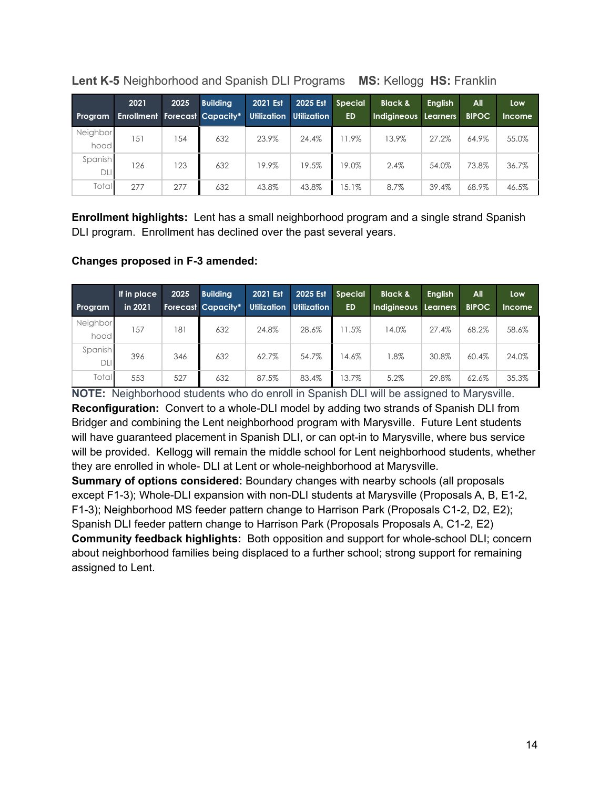| Program          | 2021<br><b>Enrollment Forecast Capacity*</b> | 2025 | <b>Building</b> | 2021 Est<br>Utilization | 2025 Est<br><b>Utilization</b> | <b>Special</b><br><b>ED</b> | <b>Black &amp;</b><br>Indigineous Learners | <b>Enalish</b> | All<br><b>BIPOC</b> | <b>Low</b><br><b>Income</b> |
|------------------|----------------------------------------------|------|-----------------|-------------------------|--------------------------------|-----------------------------|--------------------------------------------|----------------|---------------------|-----------------------------|
| Neighbor<br>hood | 151                                          | 154  | 632             | 23.9%                   | 24.4%                          | 11.9%                       | 13.9%                                      | 27.2%          | 64.9%               | 55.0%                       |
| Spanish<br>DLI   | 126                                          | 123  | 632             | 19.9%                   | 19.5%                          | 19.0%                       | 2.4%                                       | 54.0%          | 73.8%               | 36.7%                       |
| Total            | 277                                          | 277  | 632             | 43.8%                   | 43.8%                          | $15.1\%$                    | 8.7%                                       | 39.4%          | 68.9%               | 46.5%                       |

<span id="page-13-0"></span>**Lent K-5** Neighborhood and Spanish DLI Programs **MS:** Kellogg **HS:** Franklin

**Enrollment highlights:** Lent has a small neighborhood program and a single strand Spanish DLI program. Enrollment has declined over the past several years.

## **Changes proposed in F-3 amended:**

| <b>Program</b>   | If in place<br>in 2021 | 2025 | <b>Building</b><br><b>Forecast Capacity*</b> | 2021 Est<br><b>Utilization</b> | 2025 Est<br><b>Utilization</b> | <b>Special</b><br><b>ED</b> | <b>Black &amp;</b><br>Indigineous | <b>English</b><br>Learners | <b>All</b><br><b>BIPOC</b> | <b>Low</b><br><b>Income</b> |
|------------------|------------------------|------|----------------------------------------------|--------------------------------|--------------------------------|-----------------------------|-----------------------------------|----------------------------|----------------------------|-----------------------------|
| Neighbor<br>hood | 157                    | 181  | 632                                          | 24.8%                          | 28.6%                          | 11.5%                       | 14.0%                             | 27.4%                      | 68.2%                      | 58.6%                       |
| Spanish<br>DLI   | 396                    | 346  | 632                                          | 62.7%                          | 54.7%                          | 14.6%                       | $1.8\%$                           | 30.8%                      | 60.4%                      | 24.0%                       |
| Total            | 553                    | 527  | 632                                          | 87.5%                          | 83.4%                          | 13.7%                       | 5.2%                              | 29.8%                      | 62.6%                      | 35.3%                       |

**NOTE:** Neighborhood students who do enroll in Spanish DLI will be assigned to Marysville. **Reconfiguration:** Convert to a whole-DLI model by adding two strands of Spanish DLI from Bridger and combining the Lent neighborhood program with Marysville. Future Lent students will have guaranteed placement in Spanish DLI, or can opt-in to Marysville, where bus service will be provided. Kellogg will remain the middle school for Lent neighborhood students, whether they are enrolled in whole- DLI at Lent or whole-neighborhood at Marysville.

**Summary of options considered:** Boundary changes with nearby schools (all proposals except F1-3); Whole-DLI expansion with non-DLI students at Marysville (Proposals A, B, E1-2, F1-3); Neighborhood MS feeder pattern change to Harrison Park (Proposals C1-2, D2, E2); Spanish DLI feeder pattern change to Harrison Park (Proposals Proposals A, C1-2, E2) **Community feedback highlights:** Both opposition and support for whole-school DLI; concern about neighborhood families being displaced to a further school; strong support for remaining assigned to Lent.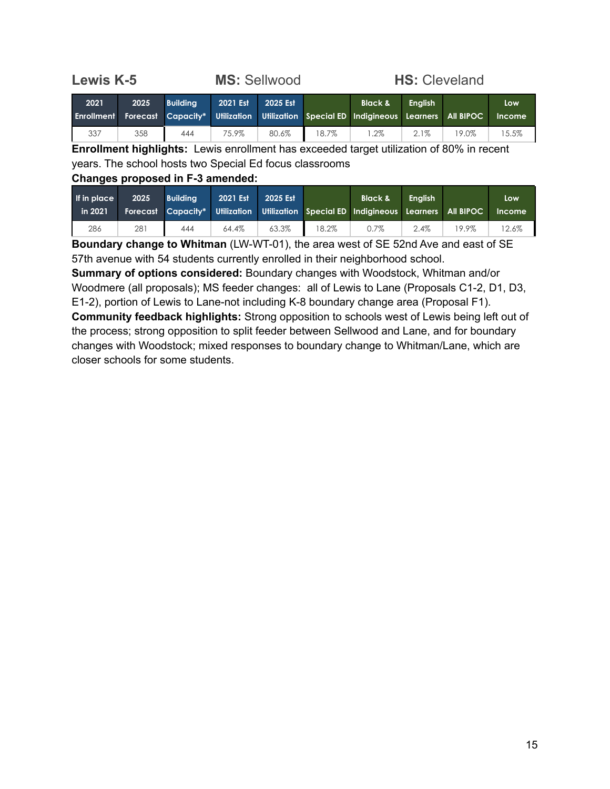<span id="page-14-0"></span>

| <b>Lewis K-5</b> |      |                 |          | <b>MS: Sellwood</b> | <b>HS: Cleveland</b> |                                                                                                                       |                |       |               |  |
|------------------|------|-----------------|----------|---------------------|----------------------|-----------------------------------------------------------------------------------------------------------------------|----------------|-------|---------------|--|
| 2021             | 2025 | <b>Building</b> | 2021 Est | 2025 Est            |                      | <b>Black &amp;</b><br>Enrollment Forecast Capacity* Utilization Utilization Special ED Indigineous Learners All BIPOC | <b>Enalish</b> |       | Low<br>Income |  |
| 337              | 358  | 444             | 75.9%    | 80.6%               | 18.7%                | $1.2\%$                                                                                                               | $2.1\%$        | 19.0% | 15.5%         |  |

**Enrollment highlights:** Lewis enrollment has exceeded target utilization of 80% in recent years. The school hosts two Special Ed focus classrooms

#### **Changes proposed in F-3 amended:**

| If in place<br>in 2021 | 2025 | <b>Building</b> | 2021 Est | 2025 Est |       | <b>Black &amp;</b><br>Forecast Capacity* Utilization Utilization Special ED Indigineous Learners All BIPOC | <b>Enalish</b> |       | Low<br>Income |
|------------------------|------|-----------------|----------|----------|-------|------------------------------------------------------------------------------------------------------------|----------------|-------|---------------|
| 286                    | 281  | 444             | 64.4%    | 63.3%    | 18.2% | 0.7%                                                                                                       | 2.4%           | 19.9% | 12.6%         |

**Boundary change to Whitman** (LW-WT-01), the area west of SE 52nd Ave and east of SE 57th avenue with 54 students currently enrolled in their neighborhood school.

**Summary of options considered:** Boundary changes with Woodstock, Whitman and/or Woodmere (all proposals); MS feeder changes: all of Lewis to Lane (Proposals C1-2, D1, D3, E1-2), portion of Lewis to Lane-not including K-8 boundary change area (Proposal F1). **Community feedback highlights:** Strong opposition to schools west of Lewis being left out of the process; strong opposition to split feeder between Sellwood and Lane, and for boundary changes with Woodstock; mixed responses to boundary change to Whitman/Lane, which are closer schools for some students.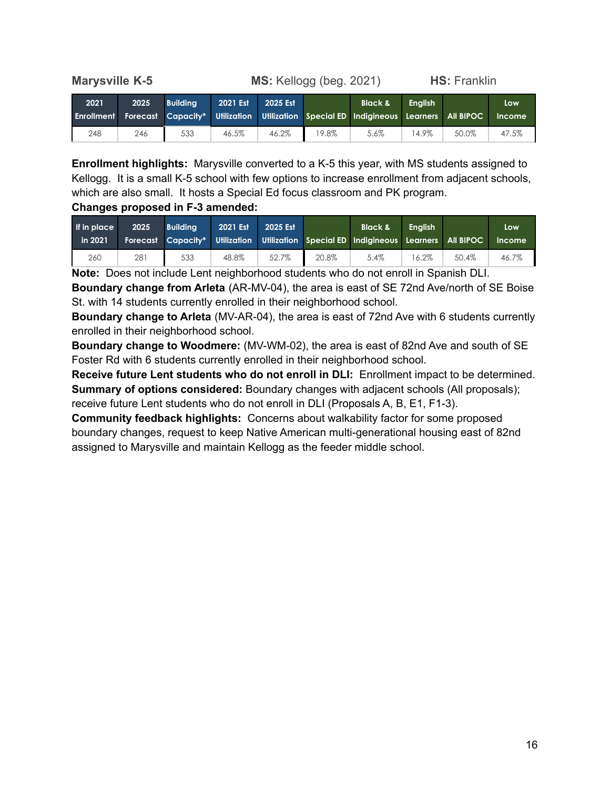<span id="page-15-0"></span>

**Marysville K-5 MS:** Kellogg (beg. 2021) **HS:** Franklin

| 2021 | 2025 | <b>Building</b> | 2021 Est | 2025 Est |       | <b>Black &amp;</b><br><b>Enrollment Forecast Capacity* Utilization Utilization Special ED Indigineous Learners All BIPOC</b> | <b>Enalish</b> |       | Low<br>Income |
|------|------|-----------------|----------|----------|-------|------------------------------------------------------------------------------------------------------------------------------|----------------|-------|---------------|
| 248  | 246  | 533             | 46.5%    | 46.2%    | 19.8% | 5.6%                                                                                                                         | 14.9%          | 50.0% | 47.5%         |

**Enrollment highlights:** Marysville converted to a K-5 this year, with MS students assigned to Kellogg. It is a small K-5 school with few options to increase enrollment from adjacent schools, which are also small. It hosts a Special Ed focus classroom and PK program.

#### **Changes proposed in F-3 amended:**

| <b>If in place</b><br>in 2021 | 2025 | <b>Building</b> | 2021 Est | 2025 Est |       | <b>Black &amp;</b><br>Forecast Capacity* Utilization Utilization Special ED Indigineous Learners All BIPOC | <b>Enalish</b> |       | Low<br><b>Income</b> |
|-------------------------------|------|-----------------|----------|----------|-------|------------------------------------------------------------------------------------------------------------|----------------|-------|----------------------|
| 260                           | 281  | 533             | 48.8%    | 52.7%    | 20.8% | 5.4%                                                                                                       | 16.2%          | 50.4% | 46.7%                |

**Note:** Does not include Lent neighborhood students who do not enroll in Spanish DLI.

**Boundary change from Arleta** (AR-MV-04), the area is east of SE 72nd Ave/north of SE Boise St. with 14 students currently enrolled in their neighborhood school.

**Boundary change to Arleta** (MV-AR-04), the area is east of 72nd Ave with 6 students currently enrolled in their neighborhood school.

**Boundary change to Woodmere:** (MV-WM-02), the area is east of 82nd Ave and south of SE Foster Rd with 6 students currently enrolled in their neighborhood school.

**Receive future Lent students who do not enroll in DLI:** Enrollment impact to be determined. **Summary of options considered:** Boundary changes with adjacent schools (All proposals); receive future Lent students who do not enroll in DLI (Proposals A, B, E1, F1-3).

**Community feedback highlights:** Concerns about walkability factor for some proposed boundary changes, request to keep Native American multi-generational housing east of 82nd assigned to Marysville and maintain Kellogg as the feeder middle school.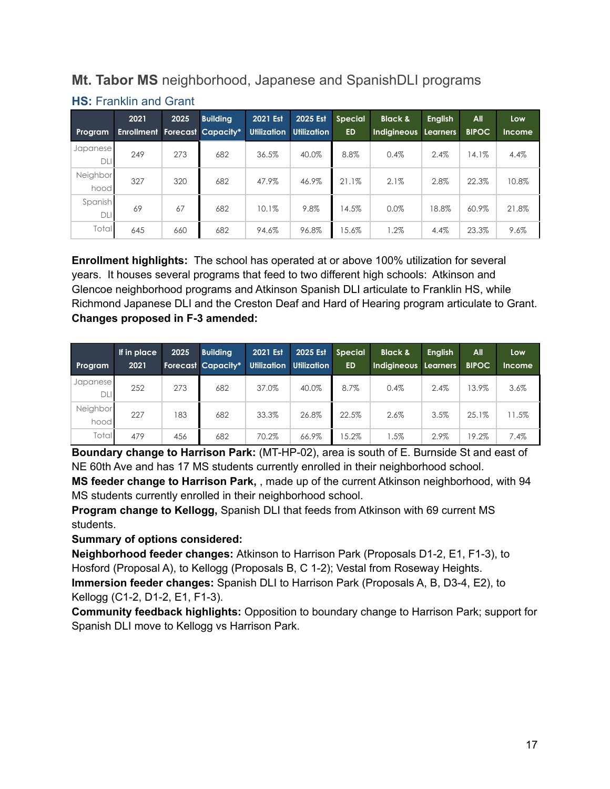## <span id="page-16-0"></span>**Mt. Tabor MS** neighborhood, Japanese and SpanishDLI programs

| <b>Program</b>   | 2021<br><b>Enrollment</b> | 2025 | <b>Building</b><br>Forecast Capacity* | 2021 Est<br><b>Utilization</b> | 2025 Est<br><b>Utilization</b> | <b>Special</b><br><b>ED</b> | <b>Black &amp;</b><br><b>Indigineous</b> | <b>English</b><br>Learners | All<br><b>BIPOC</b> | Low<br><b>Income</b> |
|------------------|---------------------------|------|---------------------------------------|--------------------------------|--------------------------------|-----------------------------|------------------------------------------|----------------------------|---------------------|----------------------|
| Japanese<br>DLI  | 249                       | 273  | 682                                   | 36.5%                          | 40.0%                          | 8.8%                        | 0.4%                                     | 2.4%                       | 14.1%               | 4.4%                 |
| Neighbor<br>hood | 327                       | 320  | 682                                   | 47.9%                          | 46.9%                          | 21.1%                       | 2.1%                                     | 2.8%                       | 22.3%               | 10.8%                |
| Spanish<br>DLI   | 69                        | 67   | 682                                   | 10.1%                          | 9.8%                           | 14.5%                       | 0.0%                                     | 18.8%                      | 60.9%               | 21.8%                |
| Total            | 645                       | 660  | 682                                   | 94.6%                          | 96.8%                          | 15.6%                       | $1.2\%$                                  | 4.4%                       | 23.3%               | 9.6%                 |

## **HS:** Franklin and Grant

**Enrollment highlights:** The school has operated at or above 100% utilization for several years. It houses several programs that feed to two different high schools: Atkinson and Glencoe neighborhood programs and Atkinson Spanish DLI articulate to Franklin HS, while Richmond Japanese DLI and the Creston Deaf and Hard of Hearing program articulate to Grant. **Changes proposed in F-3 amended:**

| Program          | If in place,<br>2021 | 2025 | <b>Building</b><br><b>Forecast Capacity*</b> | <b>2021 Est</b><br><b>Utilization</b> | 2025 Est<br><b>Utilization</b> | <b>Special</b><br><b>ED</b> | <b>Black &amp;</b><br>Indigineous Learners | <b>English</b> | All<br><b>BIPOC</b> | Low<br><b>Income</b> |
|------------------|----------------------|------|----------------------------------------------|---------------------------------------|--------------------------------|-----------------------------|--------------------------------------------|----------------|---------------------|----------------------|
| Japanese<br>DLI  | 252                  | 273  | 682                                          | 37.0%                                 | 40.0%                          | 8.7%                        | 0.4%                                       | 2.4%           | 13.9%               | 3.6%                 |
| Neighbor<br>hood | 227                  | 183  | 682                                          | 33.3%                                 | 26.8%                          | 22.5%                       | 2.6%                                       | 3.5%           | 25.1%               | 11.5%                |
| Total            | 479                  | 456  | 682                                          | 70.2%                                 | 66.9%                          | 15.2%                       | $1.5\%$                                    | 2.9%           | 19.2%               | 7.4%                 |

**Boundary change to Harrison Park:** (MT-HP-02), area is south of E. Burnside St and east of NE 60th Ave and has 17 MS students currently enrolled in their neighborhood school.

**MS feeder change to Harrison Park,** , made up of the current Atkinson neighborhood, with 94 MS students currently enrolled in their neighborhood school.

**Program change to Kellogg,** Spanish DLI that feeds from Atkinson with 69 current MS students.

#### **Summary of options considered:**

**Neighborhood feeder changes:** Atkinson to Harrison Park (Proposals D1-2, E1, F1-3), to Hosford (Proposal A), to Kellogg (Proposals B, C 1-2); Vestal from Roseway Heights. **Immersion feeder changes:** Spanish DLI to Harrison Park (Proposals A, B, D3-4, E2), to Kellogg (C1-2, D1-2, E1, F1-3).

**Community feedback highlights:** Opposition to boundary change to Harrison Park; support for Spanish DLI move to Kellogg vs Harrison Park.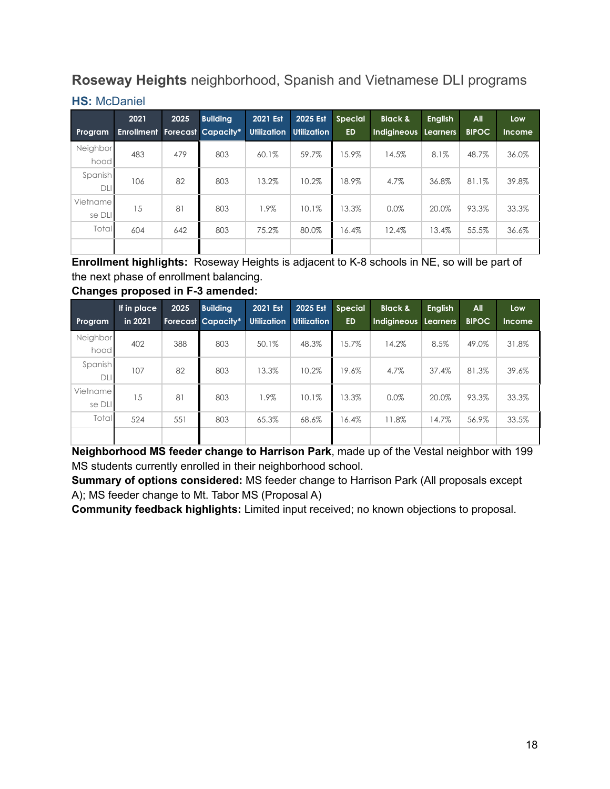## <span id="page-17-0"></span>**Roseway Heights** neighborhood, Spanish and Vietnamese DLI programs

| Program            | 2021 | 2025 | <b>Buildina</b><br><b>Enrollment Forecast Capacity*</b> | 2021 Est<br><b>Utilization</b> | 2025 Est<br><b>Utilization</b> | <b>Special</b><br><b>ED</b> | <b>Black &amp;</b><br>Indigineous Learners | <b>English</b> | All<br><b>BIPOC</b> | Low<br><b>Income</b> |
|--------------------|------|------|---------------------------------------------------------|--------------------------------|--------------------------------|-----------------------------|--------------------------------------------|----------------|---------------------|----------------------|
| Neighbor<br>hood   | 483  | 479  | 803                                                     | 60.1%                          | 59.7%                          | 15.9%                       | 14.5%                                      | 8.1%           | 48.7%               | 36.0%                |
| Spanish<br>DLI     | 106  | 82   | 803                                                     | 13.2%                          | 10.2%                          | 18.9%                       | 4.7%                                       | 36.8%          | 81.1%               | 39.8%                |
| Vietname<br>se DLI | 15   | 81   | 803                                                     | 1.9%                           | 10.1%                          | 13.3%                       | 0.0%                                       | 20.0%          | 93.3%               | 33.3%                |
| Total              | 604  | 642  | 803                                                     | 75.2%                          | 80.0%                          | 16.4%                       | 12.4%                                      | 13.4%          | 55.5%               | 36.6%                |
|                    |      |      |                                                         |                                |                                |                             |                                            |                |                     |                      |

**Enrollment highlights:** Roseway Heights is adjacent to K-8 schools in NE, so will be part of the next phase of enrollment balancing.

**Changes proposed in F-3 amended:**

| Program               | If in place<br>in 2021 | 2025 | <b>Building</b><br><b>Forecast Capacity*</b> | 2021 Est. | 2025 Est<br>Utilization Utilization | <b>Special</b><br><b>ED</b> | <b>Black &amp;</b><br><b>Indigineous</b> | <b>English</b><br><b>Learners</b> | <b>All</b><br><b>BIPOC</b> | Low<br>Income |
|-----------------------|------------------------|------|----------------------------------------------|-----------|-------------------------------------|-----------------------------|------------------------------------------|-----------------------------------|----------------------------|---------------|
| Neighbor<br>hood      | 402                    | 388  | 803                                          | 50.1%     | 48.3%                               | 15.7%                       | 14.2%                                    | 8.5%                              | 49.0%                      | 31.8%         |
| Spanish<br><b>DLI</b> | 107                    | 82   | 803                                          | 13.3%     | 10.2%                               | 19.6%                       | 4.7%                                     | 37.4%                             | 81.3%                      | 39.6%         |
| Vietname<br>se DLI    | 15                     | 81   | 803                                          | 1.9%      | 10.1%                               | 13.3%                       | 0.0%                                     | 20.0%                             | 93.3%                      | 33.3%         |
| Total                 | 524                    | 551  | 803                                          | 65.3%     | 68.6%                               | 16.4%                       | 11.8%                                    | 14.7%                             | 56.9%                      | 33.5%         |
|                       |                        |      |                                              |           |                                     |                             |                                          |                                   |                            |               |

**Neighborhood MS feeder change to Harrison Park**, made up of the Vestal neighbor with 199 MS students currently enrolled in their neighborhood school.

**Summary of options considered:** MS feeder change to Harrison Park (All proposals except A); MS feeder change to Mt. Tabor MS (Proposal A)

**Community feedback highlights:** Limited input received; no known objections to proposal.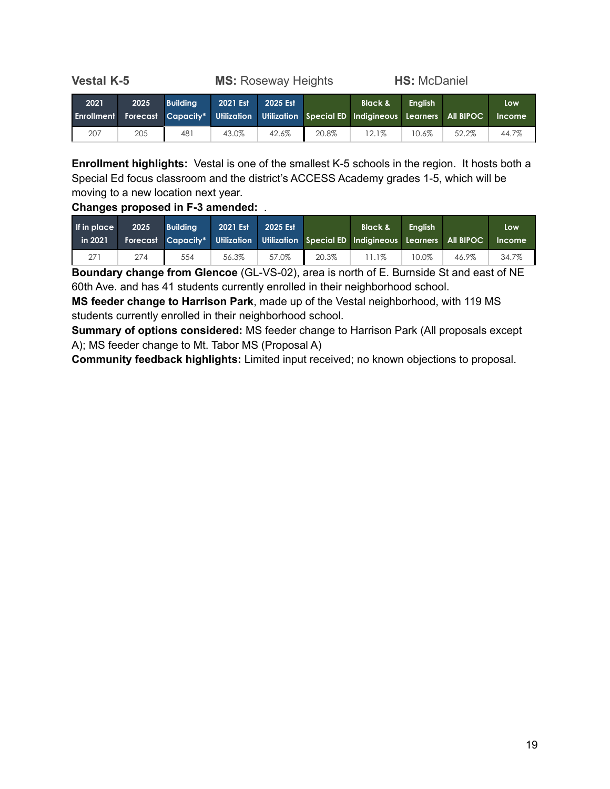<span id="page-18-0"></span>**Vestal K-5 MS:** Roseway Heights **HS:** McDaniel **2021 2025 Building 2021 Est 2025 Est Black & English Low**

**Enrollment Forecast Capacity\* Utilization Utilization Special ED Indigineous Learners All BIPOC Income** 207 205 481 43.0% 42.6% 20.8% 12.1% 10.6% 52.2% 44.7%

**Enrollment highlights:** Vestal is one of the smallest K-5 schools in the region. It hosts both a Special Ed focus classroom and the district's ACCESS Academy grades 1-5, which will be moving to a new location next year.

#### **Changes proposed in F-3 amended:** .

| If in place<br>in 2021 | 2025 | <b>Building</b> | 2021 Est | 2025 Est |       | <b>Black &amp;</b><br>Forecast Capacity* Utilization Utilization Special ED Indigineous Learners All BIPOC | . Enalish <sup>1</sup> |       | Low<br><b>Income</b> |
|------------------------|------|-----------------|----------|----------|-------|------------------------------------------------------------------------------------------------------------|------------------------|-------|----------------------|
|                        | 274  | 554             | 56.3%    | 57.0%    | 20.3% | 1.1%                                                                                                       | 10.0%                  | 46.9% | 34.7%                |

**Boundary change from Glencoe** (GL-VS-02), area is north of E. Burnside St and east of NE 60th Ave. and has 41 students currently enrolled in their neighborhood school.

**MS feeder change to Harrison Park**, made up of the Vestal neighborhood, with 119 MS students currently enrolled in their neighborhood school.

**Summary of options considered:** MS feeder change to Harrison Park (All proposals except A); MS feeder change to Mt. Tabor MS (Proposal A)

**Community feedback highlights:** Limited input received; no known objections to proposal.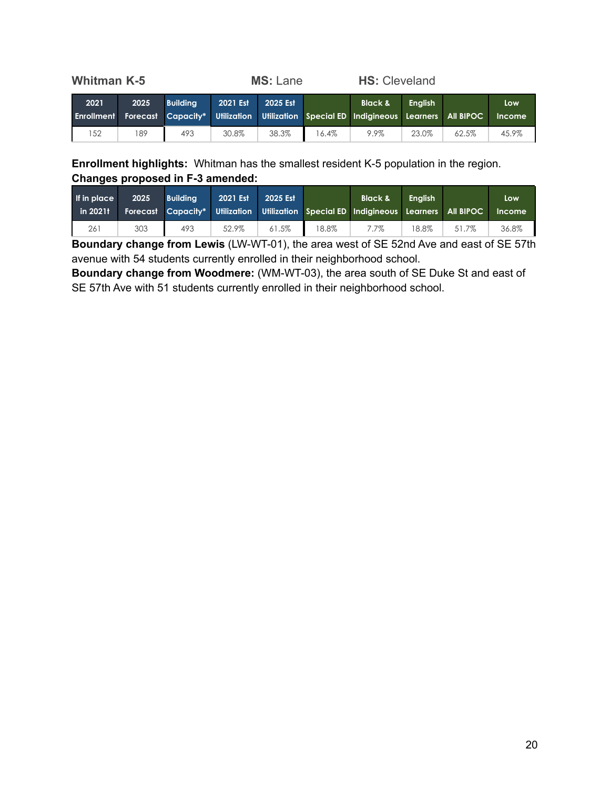<span id="page-19-0"></span>

| <b>Whitman K-5</b>        |      |                 | <b>MS: Lane</b> |          |       | <b>HS: Cleveland</b>                                                                                       |                |       |                      |
|---------------------------|------|-----------------|-----------------|----------|-------|------------------------------------------------------------------------------------------------------------|----------------|-------|----------------------|
| 2021<br><b>Enrollment</b> | 2025 | <b>Building</b> | 2021 Est        | 2025 Est |       | <b>Black &amp;</b><br>Forecast Capacity* Utilization Utilization Special ED Indigineous Learners All BIPOC | <b>Enalish</b> |       | Low<br><b>Income</b> |
| 152                       | 189  | 493             | 30.8%           | 38.3%    | 16.4% | 9.9%                                                                                                       | 23.0%          | 62.5% | 45.9%                |

**Enrollment highlights:** Whitman has the smallest resident K-5 population in the region. **Changes proposed in F-3 amended:**

| <b>If in place</b><br>in 2021t | 2025 | <b>Building</b> | 2021 Est | 2025 Est |       | <b>Black &amp;</b><br>Forecast Capacity* Utilization Utilization Special ED Indigineous Learners All BIPOC | <b>Enalish</b> |       | Low<br><b>Income</b> |
|--------------------------------|------|-----------------|----------|----------|-------|------------------------------------------------------------------------------------------------------------|----------------|-------|----------------------|
| 261                            | 303  | 493             | 52.9%    | 61.5%    | 18.8% | 7.7%                                                                                                       | 18.8%          | 51.7% | 36.8%                |

**Boundary change from Lewis** (LW-WT-01), the area west of SE 52nd Ave and east of SE 57th avenue with 54 students currently enrolled in their neighborhood school.

**Boundary change from Woodmere:** (WM-WT-03), the area south of SE Duke St and east of SE 57th Ave with 51 students currently enrolled in their neighborhood school.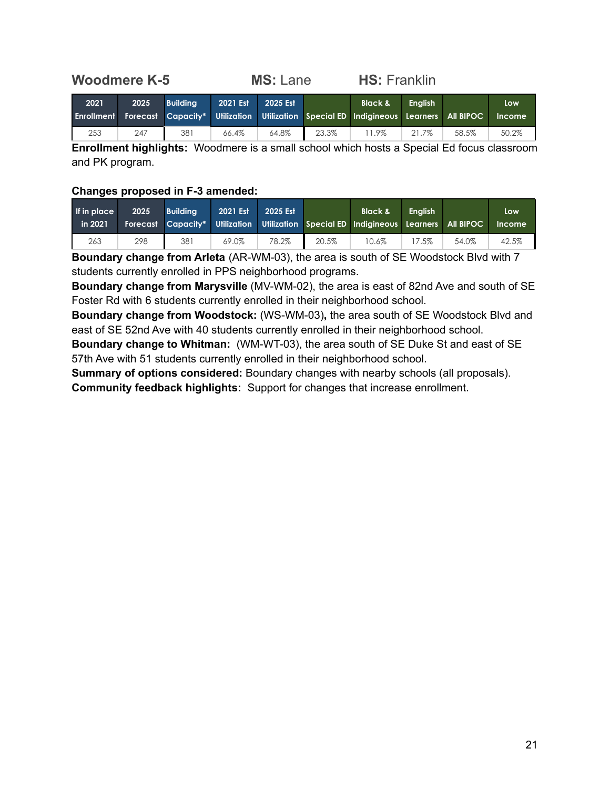## <span id="page-20-0"></span>**Woodmere K-5 MS:** Lane **HS:** Franklin

| 2021 | 2025 | <b>Building</b> | 2021 Est | 2025 Est |       | <b>Black &amp;</b><br>Enrollment Forecast Capacity* Utilization Utilization Special ED Indigineous Learners All BIPOC | <b>Enalish</b> |       | Low<br><b>Income</b> |
|------|------|-----------------|----------|----------|-------|-----------------------------------------------------------------------------------------------------------------------|----------------|-------|----------------------|
| 253  | 247  | 381             | 66.4%    | 64.8%    | 23.3% | 1.9%                                                                                                                  | 21.7%          | 58.5% | 50.2%                |

**Enrollment highlights:** Woodmere is a small school which hosts a Special Ed focus classroom and PK program.

#### **Changes proposed in F-3 amended:**

| If in place<br>in 2021 | 2025 | <b>Building</b> | 2021 Est | 2025 Est |       | <b>Black &amp;</b><br>Forecast Capacity* Utilization Utilization Special ED Indigineous Learners All BIPOC | <b>Enalish</b> |       | Low<br><b>Income</b> |
|------------------------|------|-----------------|----------|----------|-------|------------------------------------------------------------------------------------------------------------|----------------|-------|----------------------|
| 263                    | 298  | 381             | 69.0%    | 78.2%    | 20.5% | 10.6%                                                                                                      | 7.5%           | 54.0% | 42.5%                |

**Boundary change from Arleta** (AR-WM-03), the area is south of SE Woodstock Blvd with 7 students currently enrolled in PPS neighborhood programs.

**Boundary change from Marysville** (MV-WM-02), the area is east of 82nd Ave and south of SE Foster Rd with 6 students currently enrolled in their neighborhood school.

**Boundary change from Woodstock:** (WS-WM-03)**,** the area south of SE Woodstock Blvd and east of SE 52nd Ave with 40 students currently enrolled in their neighborhood school.

**Boundary change to Whitman:** (WM-WT-03), the area south of SE Duke St and east of SE 57th Ave with 51 students currently enrolled in their neighborhood school.

**Summary of options considered:** Boundary changes with nearby schools (all proposals). **Community feedback highlights:** Support for changes that increase enrollment.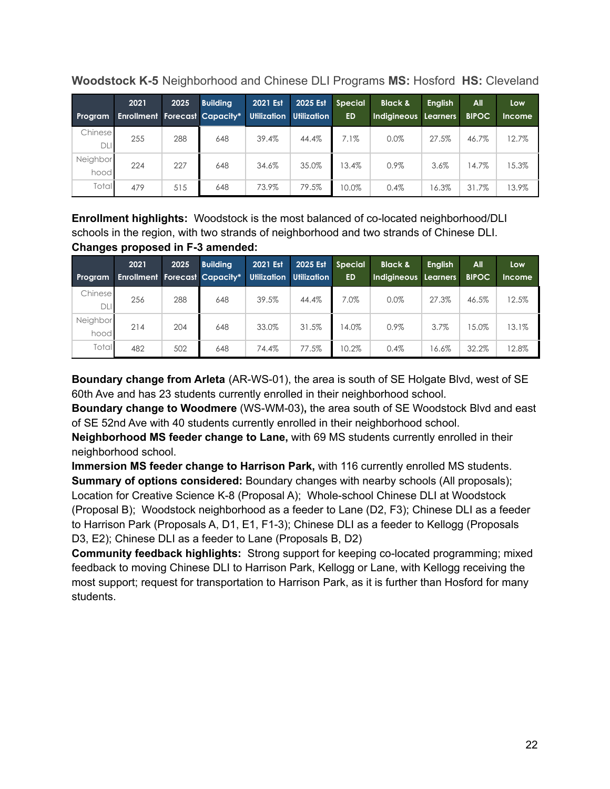| Program          | 2021<br><b>Enrollment Forecast Capacity*</b> | 2025 | <b>Building</b> | 2021 Est | 2025 Est<br>Utilization Utilization | <b>Special</b><br><b>ED</b> | <b>Black &amp;</b><br>Indigineous Learners | <b>English</b> | All<br><b>BIPOC</b> | Low<br><b>Income</b> |
|------------------|----------------------------------------------|------|-----------------|----------|-------------------------------------|-----------------------------|--------------------------------------------|----------------|---------------------|----------------------|
| Chinese<br>DLI   | 255                                          | 288  | 648             | 39.4%    | 44.4%                               | 7.1%                        | 0.0%                                       | 27.5%          | 46.7%               | 12.7%                |
| Neighbor<br>hood | 224                                          | 227  | 648             | 34.6%    | 35.0%                               | 13.4%                       | 0.9%                                       | 3.6%           | 14.7%               | 15.3%                |
| Total            | 479                                          | 515  | 648             | 73.9%    | 79.5%                               | 10.0%                       | 0.4%                                       | 16.3%          | 31.7%               | 13.9%                |

<span id="page-21-0"></span>**Woodstock K-5** Neighborhood and Chinese DLI Programs **MS:** Hosford **HS:** Cleveland

**Enrollment highlights:** Woodstock is the most balanced of co-located neighborhood/DLI schools in the region, with two strands of neighborhood and two strands of Chinese DLI. **Changes proposed in F-3 amended:**

| Program          | 2021<br><b>Enrollment Forecast Capacity*</b> | 2025 | <b>Building</b> | 2021 Est<br><b>Utilization</b> | 2025 Est<br><b>Utilization</b> | <b>Special</b><br><b>ED</b> | <b>Black &amp;</b><br>Indigineous Learners | <b>Enalish</b> | All<br><b>BIPOC</b> | Low<br><b>Income</b> |
|------------------|----------------------------------------------|------|-----------------|--------------------------------|--------------------------------|-----------------------------|--------------------------------------------|----------------|---------------------|----------------------|
| Chinese<br>DLI   | 256                                          | 288  | 648             | 39.5%                          | 44.4%                          | 7.0%                        | 0.0%                                       | 27.3%          | 46.5%               | 12.5%                |
| Neighbor<br>hood | 214                                          | 204  | 648             | 33.0%                          | 31.5%                          | 14.0%                       | 0.9%                                       | 3.7%           | 15.0%               | 13.1%                |
| Total            | 482                                          | 502  | 648             | 74.4%                          | 77.5%                          | 10.2%                       | 0.4%                                       | 16.6%          | 32.2%               | 12.8%                |

**Boundary change from Arleta** (AR-WS-01), the area is south of SE Holgate Blvd, west of SE 60th Ave and has 23 students currently enrolled in their neighborhood school.

**Boundary change to Woodmere** (WS-WM-03)**,** the area south of SE Woodstock Blvd and east of SE 52nd Ave with 40 students currently enrolled in their neighborhood school.

**Neighborhood MS feeder change to Lane,** with 69 MS students currently enrolled in their neighborhood school.

**Immersion MS feeder change to Harrison Park,** with 116 currently enrolled MS students. **Summary of options considered:** Boundary changes with nearby schools (All proposals); Location for Creative Science K-8 (Proposal A); Whole-school Chinese DLI at Woodstock (Proposal B); Woodstock neighborhood as a feeder to Lane (D2, F3); Chinese DLI as a feeder to Harrison Park (Proposals A, D1, E1, F1-3); Chinese DLI as a feeder to Kellogg (Proposals D3, E2); Chinese DLI as a feeder to Lane (Proposals B, D2)

**Community feedback highlights:** Strong support for keeping co-located programming; mixed feedback to moving Chinese DLI to Harrison Park, Kellogg or Lane, with Kellogg receiving the most support; request for transportation to Harrison Park, as it is further than Hosford for many students.